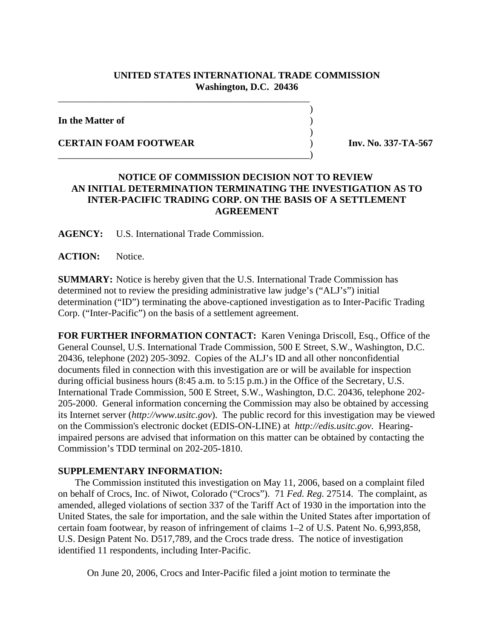## **UNITED STATES INTERNATIONAL TRADE COMMISSION Washington, D.C. 20436**

 $\overline{\phantom{a}}$ 

 $\overline{\phantom{a}}$ 

**In the Matter of** )

**CERTAIN FOAM FOOTWEAR** ) **Inv. No. 337-TA-567** 

## **NOTICE OF COMMISSION DECISION NOT TO REVIEW AN INITIAL DETERMINATION TERMINATING THE INVESTIGATION AS TO INTER-PACIFIC TRADING CORP. ON THE BASIS OF A SETTLEMENT AGREEMENT**

**AGENCY:** U.S. International Trade Commission.

\_\_\_\_\_\_\_\_\_\_\_\_\_\_\_\_\_\_\_\_\_\_\_\_\_\_\_\_\_\_\_\_\_\_\_\_\_\_\_\_\_\_\_\_\_\_\_\_\_\_\_\_

\_\_\_\_\_\_\_\_\_\_\_\_\_\_\_\_\_\_\_\_\_\_\_\_\_\_\_\_\_\_\_\_\_\_\_\_\_\_\_\_\_\_\_\_\_\_\_\_\_\_\_\_)

**ACTION:** Notice.

**SUMMARY:** Notice is hereby given that the U.S. International Trade Commission has determined not to review the presiding administrative law judge's ("ALJ's") initial determination ("ID") terminating the above-captioned investigation as to Inter-Pacific Trading Corp. ("Inter-Pacific") on the basis of a settlement agreement.

**FOR FURTHER INFORMATION CONTACT:** Karen Veninga Driscoll, Esq., Office of the General Counsel, U.S. International Trade Commission, 500 E Street, S.W., Washington, D.C. 20436, telephone (202) 205-3092. Copies of the ALJ's ID and all other nonconfidential documents filed in connection with this investigation are or will be available for inspection during official business hours (8:45 a.m. to 5:15 p.m.) in the Office of the Secretary, U.S. International Trade Commission, 500 E Street, S.W., Washington, D.C. 20436, telephone 202- 205-2000. General information concerning the Commission may also be obtained by accessing its Internet server (*http://www.usitc.gov*). The public record for this investigation may be viewed on the Commission's electronic docket (EDIS-ON-LINE) at *http://edis.usitc.gov.* Hearingimpaired persons are advised that information on this matter can be obtained by contacting the Commission's TDD terminal on 202-205-1810.

## **SUPPLEMENTARY INFORMATION:**

 The Commission instituted this investigation on May 11, 2006, based on a complaint filed on behalf of Crocs, Inc. of Niwot, Colorado ("Crocs"). 71 *Fed. Reg.* 27514. The complaint, as amended, alleged violations of section 337 of the Tariff Act of 1930 in the importation into the United States, the sale for importation, and the sale within the United States after importation of certain foam footwear, by reason of infringement of claims 1–2 of U.S. Patent No. 6,993,858, U.S. Design Patent No. D517,789, and the Crocs trade dress. The notice of investigation identified 11 respondents, including Inter-Pacific.

On June 20, 2006, Crocs and Inter-Pacific filed a joint motion to terminate the